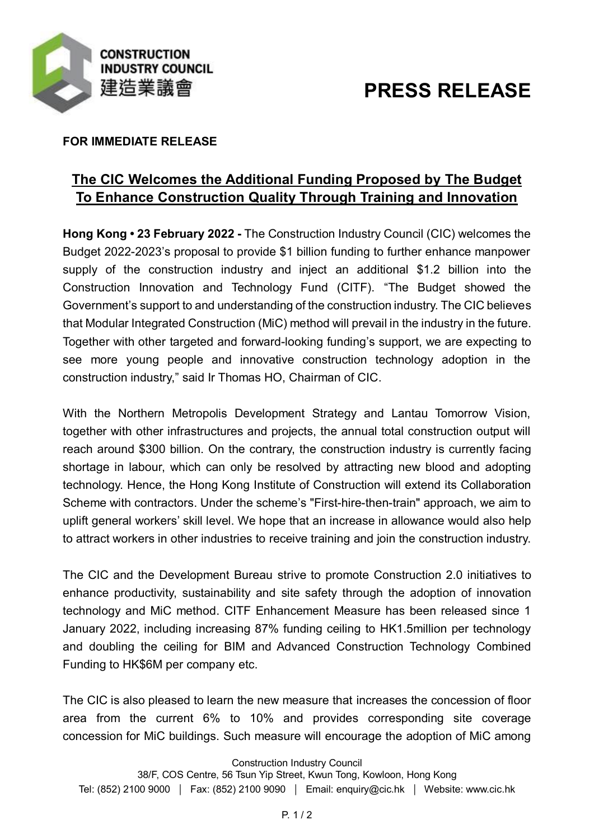

# **PRESS RELEASE**

### **FOR IMMEDIATE RELEASE**

# **The CIC Welcomes the Additional Funding Proposed by The Budget To Enhance Construction Quality Through Training and Innovation**

**Hong Kong • 23 February 2022 -** The Construction Industry Council (CIC) welcomes the Budget 2022-2023's proposal to provide \$1 billion funding to further enhance manpower supply of the construction industry and inject an additional \$1.2 billion into the Construction Innovation and Technology Fund (CITF). "The Budget showed the Government's support to and understanding of the construction industry. The CIC believes that Modular Integrated Construction (MiC) method will prevail in the industry in the future. Together with other targeted and forward-looking funding's support, we are expecting to see more young people and innovative construction technology adoption in the construction industry," said Ir Thomas HO, Chairman of CIC.

With the Northern Metropolis Development Strategy and Lantau Tomorrow Vision, together with other infrastructures and projects, the annual total construction output will reach around \$300 billion. On the contrary, the construction industry is currently facing shortage in labour, which can only be resolved by attracting new blood and adopting technology. Hence, the Hong Kong Institute of Construction will extend its Collaboration Scheme with contractors. Under the scheme's "First-hire-then-train" approach, we aim to uplift general workers' skill level. We hope that an increase in allowance would also help to attract workers in other industries to receive training and join the construction industry.

The CIC and the Development Bureau strive to promote Construction 2.0 initiatives to enhance productivity, sustainability and site safety through the adoption of innovation technology and MiC method. CITF Enhancement Measure has been released since 1 January 2022, including increasing 87% funding ceiling to HK1.5million per technology and doubling the ceiling for BIM and Advanced Construction Technology Combined Funding to HK\$6M per company etc.

The CIC is also pleased to learn the new measure that increases the concession of floor area from the current 6% to 10% and provides corresponding site coverage concession for MiC buildings. Such measure will encourage the adoption of MiC among

Construction Industry Council

38/F, COS Centre, 56 Tsun Yip Street, Kwun Tong, Kowloon, Hong Kong Tel: (852) 2100 9000 | Fax: (852) 2100 9090 | Email: enquiry@cic.hk | Website: www.cic.hk